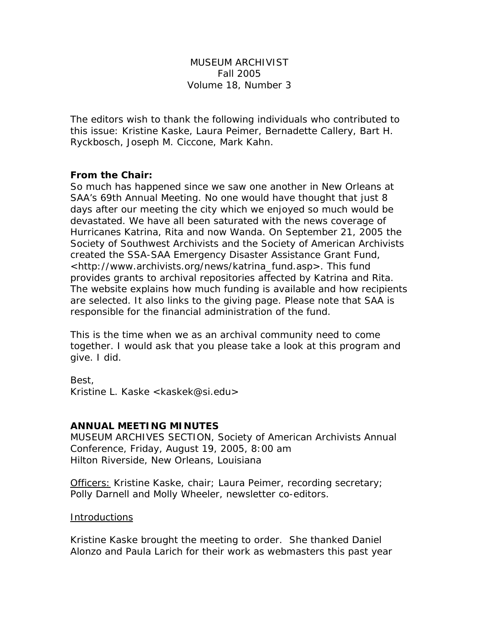# MUSEUM ARCHIVIST Fall 2005 Volume 18, Number 3

The editors wish to thank the following individuals who contributed to this issue: Kristine Kaske, Laura Peimer, Bernadette Callery, Bart H. Ryckbosch, Joseph M. Ciccone, Mark Kahn.

## **From the Chair:**

So much has happened since we saw one another in New Orleans at SAA's 69th Annual Meeting. No one would have thought that just 8 days after our meeting the city which we enjoyed so much would be devastated. We have all been saturated with the news coverage of Hurricanes Katrina, Rita and now Wanda. On September 21, 2005 the Society of Southwest Archivists and the Society of American Archivists created the SSA-SAA Emergency Disaster Assistance Grant Fund, <http://www.archivists.org/news/katrina\_fund.asp>. This fund provides grants to archival repositories affected by Katrina and Rita. The website explains how much funding is available and how recipients are selected. It also links to the giving page. Please note that SAA is responsible for the financial administration of the fund.

This is the time when we as an archival community need to come together. I would ask that you please take a look at this program and give. I did.

Best,

Kristine L. Kaske <kaskek@si.edu>

## **ANNUAL MEETING MINUTES**

MUSEUM ARCHIVES SECTION, Society of American Archivists Annual Conference, Friday, August 19, 2005, 8:00 am Hilton Riverside, New Orleans, Louisiana

Officers: Kristine Kaske, chair; Laura Peimer, recording secretary; Polly Darnell and Molly Wheeler, newsletter co-editors.

#### Introductions

Kristine Kaske brought the meeting to order. She thanked Daniel Alonzo and Paula Larich for their work as webmasters this past year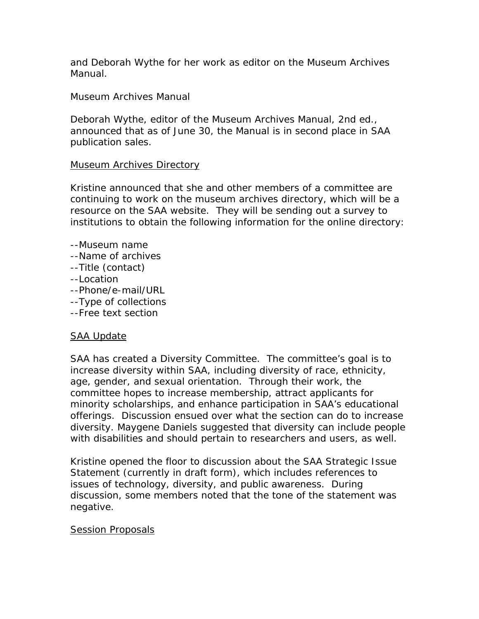and Deborah Wythe for her work as editor on the Museum Archives Manual.

Museum Archives Manual

Deborah Wythe, editor of the Museum Archives Manual, 2nd ed., announced that as of June 30, the Manual is in second place in SAA publication sales.

# Museum Archives Directory

Kristine announced that she and other members of a committee are continuing to work on the museum archives directory, which will be a resource on the SAA website. They will be sending out a survey to institutions to obtain the following information for the online directory:

- --Museum name --Name of archives --Title (contact) --Location
- --Phone/e-mail/URL
- --Type of collections
- --Free text section

# SAA Update

SAA has created a Diversity Committee. The committee's goal is to increase diversity within SAA, including diversity of race, ethnicity, age, gender, and sexual orientation. Through their work, the committee hopes to increase membership, attract applicants for minority scholarships, and enhance participation in SAA's educational offerings. Discussion ensued over what the section can do to increase diversity. Maygene Daniels suggested that diversity can include people with disabilities and should pertain to researchers and users, as well.

Kristine opened the floor to discussion about the SAA Strategic Issue Statement (currently in draft form), which includes references to issues of technology, diversity, and public awareness. During discussion, some members noted that the tone of the statement was negative.

## Session Proposals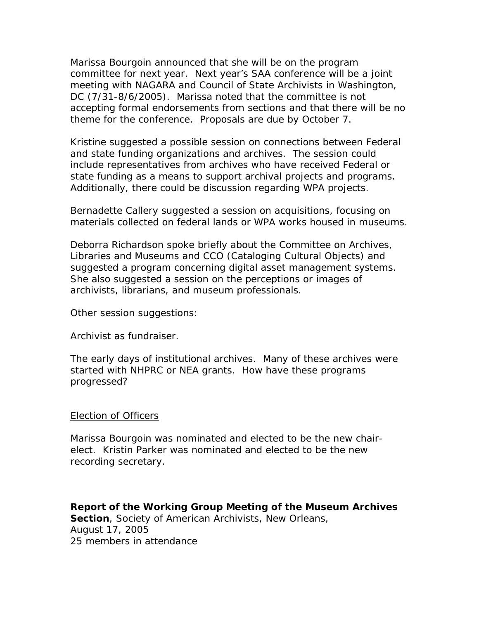Marissa Bourgoin announced that she will be on the program committee for next year. Next year's SAA conference will be a joint meeting with NAGARA and Council of State Archivists in Washington, DC (7/31-8/6/2005). Marissa noted that the committee is not accepting formal endorsements from sections and that there will be no theme for the conference. Proposals are due by October 7.

Kristine suggested a possible session on connections between Federal and state funding organizations and archives. The session could include representatives from archives who have received Federal or state funding as a means to support archival projects and programs. Additionally, there could be discussion regarding WPA projects.

Bernadette Callery suggested a session on acquisitions, focusing on materials collected on federal lands or WPA works housed in museums.

Deborra Richardson spoke briefly about the Committee on Archives, Libraries and Museums and CCO (Cataloging Cultural Objects) and suggested a program concerning digital asset management systems. She also suggested a session on the perceptions or images of archivists, librarians, and museum professionals.

Other session suggestions:

Archivist as fundraiser.

The early days of institutional archives. Many of these archives were started with NHPRC or NEA grants. How have these programs progressed?

## Election of Officers

Marissa Bourgoin was nominated and elected to be the new chairelect. Kristin Parker was nominated and elected to be the new recording secretary.

**Report of the Working Group Meeting of the Museum Archives**  Section, Society of American Archivists, New Orleans, August 17, 2005 25 members in attendance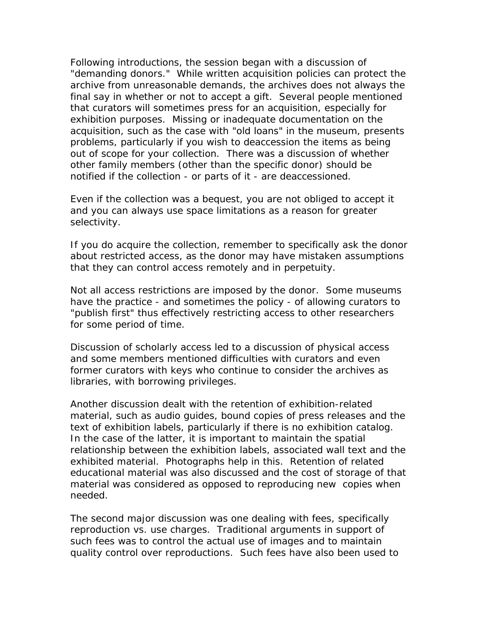Following introductions, the session began with a discussion of "demanding donors." While written acquisition policies can protect the archive from unreasonable demands, the archives does not always the final say in whether or not to accept a gift. Several people mentioned that curators will sometimes press for an acquisition, especially for exhibition purposes. Missing or inadequate documentation on the acquisition, such as the case with "old loans" in the museum, presents problems, particularly if you wish to deaccession the items as being out of scope for your collection. There was a discussion of whether other family members (other than the specific donor) should be notified if the collection - or parts of it - are deaccessioned.

Even if the collection was a bequest, you are not obliged to accept it and you can always use space limitations as a reason for greater selectivity.

If you do acquire the collection, remember to specifically ask the donor about restricted access, as the donor may have mistaken assumptions that they can control access remotely and in perpetuity.

Not all access restrictions are imposed by the donor. Some museums have the practice - and sometimes the policy - of allowing curators to "publish first" thus effectively restricting access to other researchers for some period of time.

Discussion of scholarly access led to a discussion of physical access and some members mentioned difficulties with curators and even former curators with keys who continue to consider the archives as libraries, with borrowing privileges.

Another discussion dealt with the retention of exhibition-related material, such as audio guides, bound copies of press releases and the text of exhibition labels, particularly if there is no exhibition catalog. In the case of the latter, it is important to maintain the spatial relationship between the exhibition labels, associated wall text and the exhibited material. Photographs help in this. Retention of related educational material was also discussed and the cost of storage of that material was considered as opposed to reproducing new copies when needed.

The second major discussion was one dealing with fees, specifically reproduction vs. use charges. Traditional arguments in support of such fees was to control the actual use of images and to maintain quality control over reproductions. Such fees have also been used to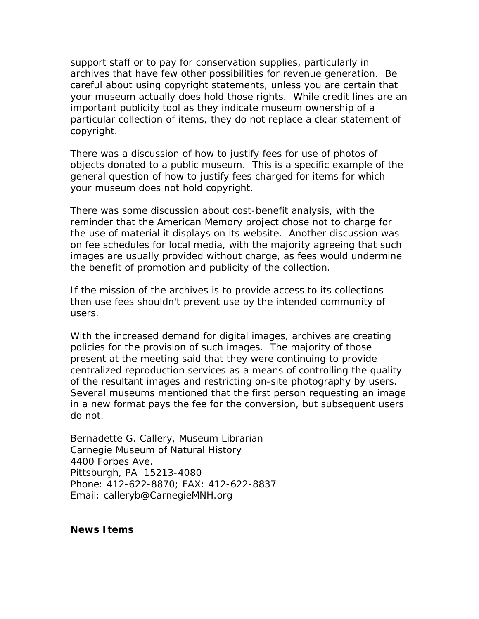support staff or to pay for conservation supplies, particularly in archives that have few other possibilities for revenue generation. Be careful about using copyright statements, unless you are certain that your museum actually does hold those rights. While credit lines are an important publicity tool as they indicate museum ownership of a particular collection of items, they do not replace a clear statement of copyright.

There was a discussion of how to justify fees for use of photos of objects donated to a public museum. This is a specific example of the general question of how to justify fees charged for items for which your museum does not hold copyright.

There was some discussion about cost-benefit analysis, with the reminder that the American Memory project chose not to charge for the use of material it displays on its website. Another discussion was on fee schedules for local media, with the majority agreeing that such images are usually provided without charge, as fees would undermine the benefit of promotion and publicity of the collection.

If the mission of the archives is to provide access to its collections then use fees shouldn't prevent use by the intended community of users.

With the increased demand for digital images, archives are creating policies for the provision of such images. The majority of those present at the meeting said that they were continuing to provide centralized reproduction services as a means of controlling the quality of the resultant images and restricting on-site photography by users. Several museums mentioned that the first person requesting an image in a new format pays the fee for the conversion, but subsequent users do not.

Bernadette G. Callery, Museum Librarian Carnegie Museum of Natural History 4400 Forbes Ave. Pittsburgh, PA 15213-4080 Phone: 412-622-8870; FAX: 412-622-8837 Email: calleryb@CarnegieMNH.org

**News Items**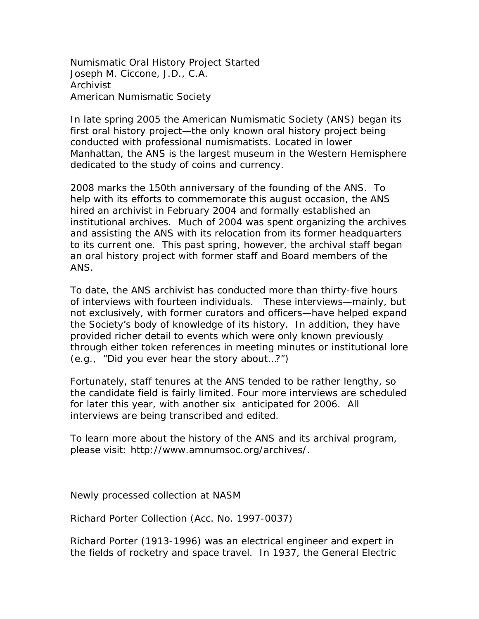Numismatic Oral History Project Started Joseph M. Ciccone, J.D., C.A. Archivist American Numismatic Society

In late spring 2005 the American Numismatic Society (ANS) began its first oral history project—the only known oral history project being conducted with professional numismatists. Located in lower Manhattan, the ANS is the largest museum in the Western Hemisphere dedicated to the study of coins and currency.

2008 marks the 150th anniversary of the founding of the ANS. To help with its efforts to commemorate this august occasion, the ANS hired an archivist in February 2004 and formally established an institutional archives. Much of 2004 was spent organizing the archives and assisting the ANS with its relocation from its former headquarters to its current one. This past spring, however, the archival staff began an oral history project with former staff and Board members of the ANS.

To date, the ANS archivist has conducted more than thirty-five hours of interviews with fourteen individuals. These interviews—mainly, but not exclusively, with former curators and officers—have helped expand the Society's body of knowledge of its history. In addition, they have provided richer detail to events which were only known previously through either token references in meeting minutes or institutional lore (e.g., "Did you ever hear the story about…?")

Fortunately, staff tenures at the ANS tended to be rather lengthy, so the candidate field is fairly limited. Four more interviews are scheduled for later this year, with another six anticipated for 2006. All interviews are being transcribed and edited.

To learn more about the history of the ANS and its archival program, please visit: http://www.amnumsoc.org/archives/.

Newly processed collection at NASM

Richard Porter Collection (Acc. No. 1997-0037)

Richard Porter (1913-1996) was an electrical engineer and expert in the fields of rocketry and space travel. In 1937, the General Electric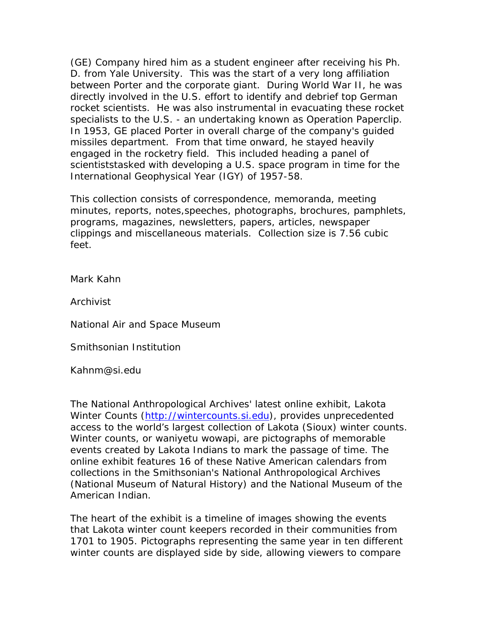(GE) Company hired him as a student engineer after receiving his Ph. D. from Yale University. This was the start of a very long affiliation between Porter and the corporate giant. During World War II, he was directly involved in the U.S. effort to identify and debrief top German rocket scientists. He was also instrumental in evacuating these rocket specialists to the U.S. - an undertaking known as Operation Paperclip. In 1953, GE placed Porter in overall charge of the company's guided missiles department. From that time onward, he stayed heavily engaged in the rocketry field. This included heading a panel of scientiststasked with developing a U.S. space program in time for the International Geophysical Year (IGY) of 1957-58.

This collection consists of correspondence, memoranda, meeting minutes, reports, notes,speeches, photographs, brochures, pamphlets, programs, magazines, newsletters, papers, articles, newspaper clippings and miscellaneous materials. Collection size is 7.56 cubic feet.

Mark Kahn

Archivist

National Air and Space Museum

Smithsonian Institution

Kahnm@si.edu

The National Anthropological Archives' latest online exhibit, Lakota Winter Counts (http://wintercounts.si.edu), provides unprecedented access to the world's largest collection of Lakota (Sioux) winter counts. Winter counts, or *waniyetu wowapi*, are pictographs of memorable events created by Lakota Indians to mark the passage of time. The online exhibit features 16 of these Native American calendars from collections in the Smithsonian's National Anthropological Archives (National Museum of Natural History) and the National Museum of the American Indian.

The heart of the exhibit is a timeline of images showing the events that Lakota winter count keepers recorded in their communities from 1701 to 1905. Pictographs representing the same year in ten different winter counts are displayed side by side, allowing viewers to compare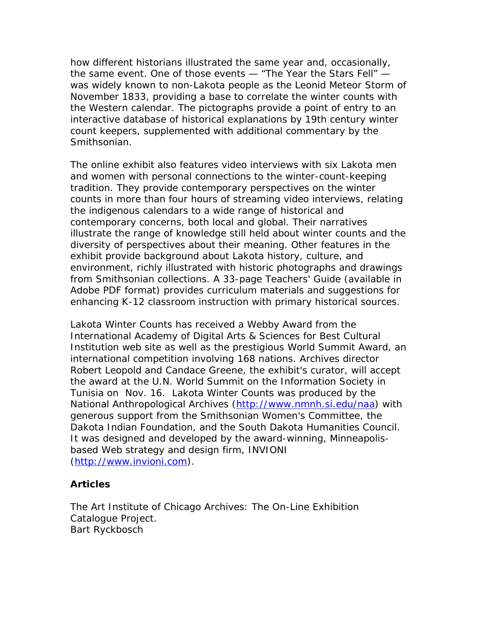how different historians illustrated the same year and, occasionally, the same event. One of those events — "The Year the Stars Fell" was widely known to non-Lakota people as the Leonid Meteor Storm of November 1833, providing a base to correlate the winter counts with the Western calendar. The pictographs provide a point of entry to an interactive database of historical explanations by 19th century winter count keepers, supplemented with additional commentary by the Smithsonian.

The online exhibit also features video interviews with six Lakota men and women with personal connections to the winter-count-keeping tradition. They provide contemporary perspectives on the winter counts in more than four hours of streaming video interviews, relating the indigenous calendars to a wide range of historical and contemporary concerns, both local and global. Their narratives illustrate the range of knowledge still held about winter counts and the diversity of perspectives about their meaning. Other features in the exhibit provide background about Lakota history, culture, and environment, richly illustrated with historic photographs and drawings from Smithsonian collections. A 33-page Teachers' Guide (available in Adobe PDF format) provides curriculum materials and suggestions for enhancing K-12 classroom instruction with primary historical sources.

Lakota Winter Counts has received a Webby Award from the International Academy of Digital Arts & Sciences for Best Cultural Institution web site as well as the prestigious World Summit Award, an international competition involving 168 nations. Archives director Robert Leopold and Candace Greene, the exhibit's curator, will accept the award at the U.N. World Summit on the Information Society in Tunisia on Nov. 16. Lakota Winter Counts was produced by the National Anthropological Archives (http://www.nmnh.si.edu/naa) with generous support from the Smithsonian Women's Committee, the Dakota Indian Foundation, and the South Dakota Humanities Council. It was designed and developed by the award-winning, Minneapolisbased Web strategy and design firm, INVIONI (http://www.invioni.com).

## **Articles**

The Art Institute of Chicago Archives: The On-Line Exhibition Catalogue Project. Bart Ryckbosch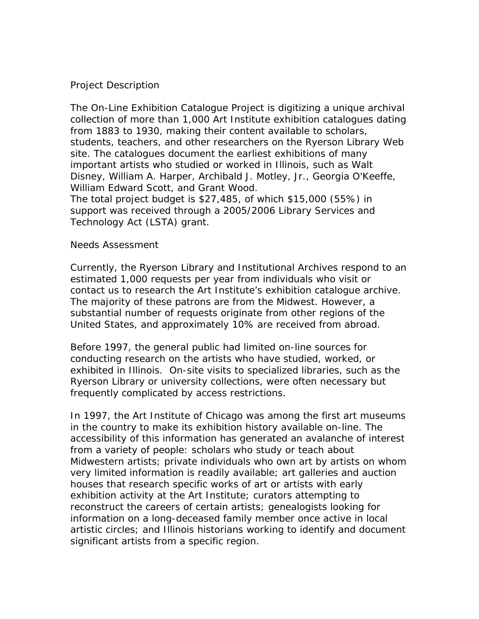# Project Description

The On-Line Exhibition Catalogue Project is digitizing a unique archival collection of more than 1,000 Art Institute exhibition catalogues dating from 1883 to 1930, making their content available to scholars, students, teachers, and other researchers on the Ryerson Library Web site. The catalogues document the earliest exhibitions of many important artists who studied or worked in Illinois, such as Walt Disney, William A. Harper, Archibald J. Motley, Jr., Georgia O'Keeffe, William Edward Scott, and Grant Wood.

The total project budget is \$27,485, of which \$15,000 (55%) in support was received through a 2005/2006 Library Services and Technology Act (LSTA) grant.

#### Needs Assessment

Currently, the Ryerson Library and Institutional Archives respond to an estimated 1,000 requests per year from individuals who visit or contact us to research the Art Institute's exhibition catalogue archive. The majority of these patrons are from the Midwest. However, a substantial number of requests originate from other regions of the United States, and approximately 10% are received from abroad.

Before 1997, the general public had limited on-line sources for conducting research on the artists who have studied, worked, or exhibited in Illinois. On-site visits to specialized libraries, such as the Ryerson Library or university collections, were often necessary but frequently complicated by access restrictions.

In 1997, the Art Institute of Chicago was among the first art museums in the country to make its exhibition history available on-line. The accessibility of this information has generated an avalanche of interest from a variety of people: scholars who study or teach about Midwestern artists; private individuals who own art by artists on whom very limited information is readily available; art galleries and auction houses that research specific works of art or artists with early exhibition activity at the Art Institute; curators attempting to reconstruct the careers of certain artists; genealogists looking for information on a long-deceased family member once active in local artistic circles; and Illinois historians working to identify and document significant artists from a specific region.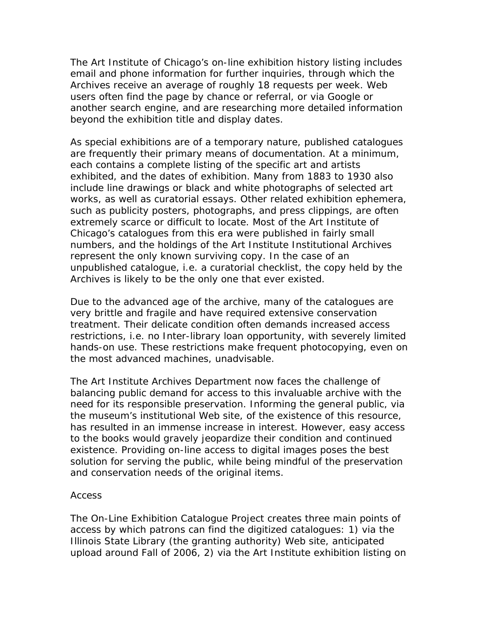The Art Institute of Chicago's on-line exhibition history listing includes email and phone information for further inquiries, through which the Archives receive an average of roughly 18 requests per week. Web users often find the page by chance or referral, or via Google or another search engine, and are researching more detailed information beyond the exhibition title and display dates.

As special exhibitions are of a temporary nature, published catalogues are frequently their primary means of documentation. At a minimum, each contains a complete listing of the specific art and artists exhibited, and the dates of exhibition. Many from 1883 to 1930 also include line drawings or black and white photographs of selected art works, as well as curatorial essays. Other related exhibition ephemera, such as publicity posters, photographs, and press clippings, are often extremely scarce or difficult to locate. Most of the Art Institute of Chicago's catalogues from this era were published in fairly small numbers, and the holdings of the Art Institute Institutional Archives represent the only known surviving copy. In the case of an unpublished catalogue, i.e. a curatorial checklist, the copy held by the Archives is likely to be the only one that ever existed.

Due to the advanced age of the archive, many of the catalogues are very brittle and fragile and have required extensive conservation treatment. Their delicate condition often demands increased access restrictions, i.e. no Inter-library loan opportunity, with severely limited hands-on use. These restrictions make frequent photocopying, even on the most advanced machines, unadvisable.

The Art Institute Archives Department now faces the challenge of balancing public demand for access to this invaluable archive with the need for its responsible preservation. Informing the general public, via the museum's institutional Web site, of the existence of this resource, has resulted in an immense increase in interest. However, easy access to the books would gravely jeopardize their condition and continued existence. Providing on-line access to digital images poses the best solution for serving the public, while being mindful of the preservation and conservation needs of the original items.

#### Access

The On-Line Exhibition Catalogue Project creates three main points of access by which patrons can find the digitized catalogues: 1) via the Illinois State Library (the granting authority) Web site, anticipated upload around Fall of 2006, 2) via the Art Institute exhibition listing on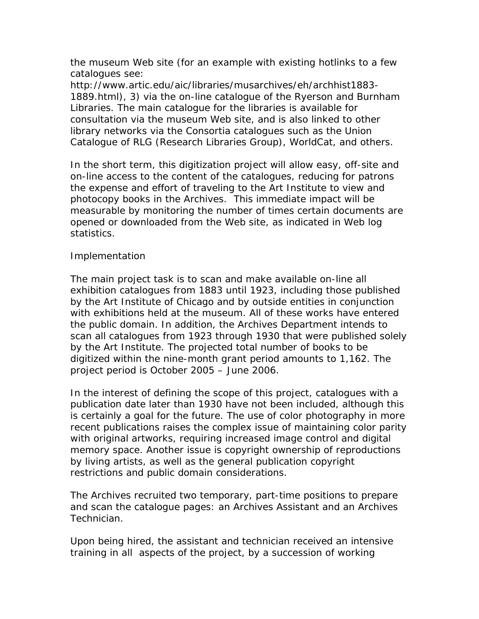the museum Web site (for an example with existing hotlinks to a few catalogues see:

http://www.artic.edu/aic/libraries/musarchives/eh/archhist1883- 1889.html), 3) via the on-line catalogue of the Ryerson and Burnham Libraries. The main catalogue for the libraries is available for consultation via the museum Web site, and is also linked to other library networks via the Consortia catalogues such as the Union Catalogue of RLG (Research Libraries Group), WorldCat, and others.

In the short term, this digitization project will allow easy, off-site and on-line access to the content of the catalogues, reducing for patrons the expense and effort of traveling to the Art Institute to view and photocopy books in the Archives. This immediate impact will be measurable by monitoring the number of times certain documents are opened or downloaded from the Web site, as indicated in Web log statistics.

# Implementation

The main project task is to scan and make available on-line all exhibition catalogues from 1883 until 1923, including those published by the Art Institute of Chicago and by outside entities in conjunction with exhibitions held at the museum. All of these works have entered the public domain. In addition, the Archives Department intends to scan all catalogues from 1923 through 1930 that were published solely by the Art Institute. The projected total number of books to be digitized within the nine-month grant period amounts to 1,162. The project period is October 2005 – June 2006.

In the interest of defining the scope of this project, catalogues with a publication date later than 1930 have not been included, although this is certainly a goal for the future. The use of color photography in more recent publications raises the complex issue of maintaining color parity with original artworks, requiring increased image control and digital memory space. Another issue is copyright ownership of reproductions by living artists, as well as the general publication copyright restrictions and public domain considerations.

The Archives recruited two temporary, part-time positions to prepare and scan the catalogue pages: an Archives Assistant and an Archives Technician.

Upon being hired, the assistant and technician received an intensive training in all aspects of the project, by a succession of working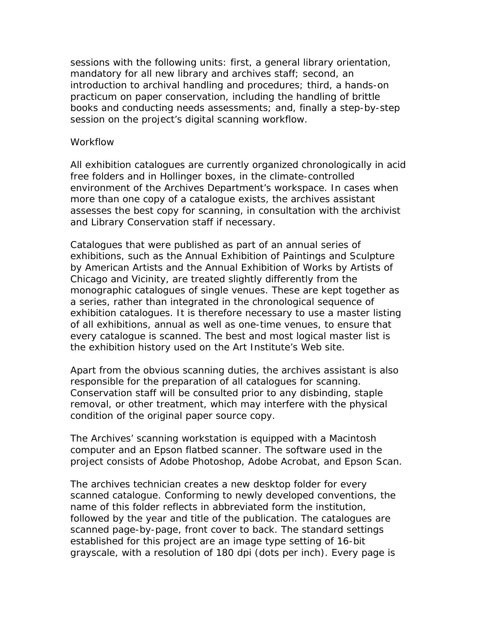sessions with the following units: first, a general library orientation, mandatory for all new library and archives staff; second, an introduction to archival handling and procedures; third, a hands-on practicum on paper conservation, including the handling of brittle books and conducting needs assessments; and, finally a step-by-step session on the project's digital scanning workflow.

#### **Workflow**

All exhibition catalogues are currently organized chronologically in acid free folders and in Hollinger boxes, in the climate-controlled environment of the Archives Department's workspace. In cases when more than one copy of a catalogue exists, the archives assistant assesses the best copy for scanning, in consultation with the archivist and Library Conservation staff if necessary.

Catalogues that were published as part of an annual series of exhibitions, such as the Annual Exhibition of Paintings and Sculpture by American Artists and the Annual Exhibition of Works by Artists of Chicago and Vicinity, are treated slightly differently from the monographic catalogues of single venues. These are kept together as a series, rather than integrated in the chronological sequence of exhibition catalogues. It is therefore necessary to use a master listing of all exhibitions, annual as well as one-time venues, to ensure that every catalogue is scanned. The best and most logical master list is the exhibition history used on the Art Institute's Web site.

Apart from the obvious scanning duties, the archives assistant is also responsible for the preparation of all catalogues for scanning. Conservation staff will be consulted prior to any disbinding, staple removal, or other treatment, which may interfere with the physical condition of the original paper source copy.

The Archives' scanning workstation is equipped with a Macintosh computer and an Epson flatbed scanner. The software used in the project consists of Adobe Photoshop, Adobe Acrobat, and Epson Scan.

The archives technician creates a new desktop folder for every scanned catalogue. Conforming to newly developed conventions, the name of this folder reflects in abbreviated form the institution, followed by the year and title of the publication. The catalogues are scanned page-by-page, front cover to back. The standard settings established for this project are an image type setting of 16-bit grayscale, with a resolution of 180 dpi (dots per inch). Every page is